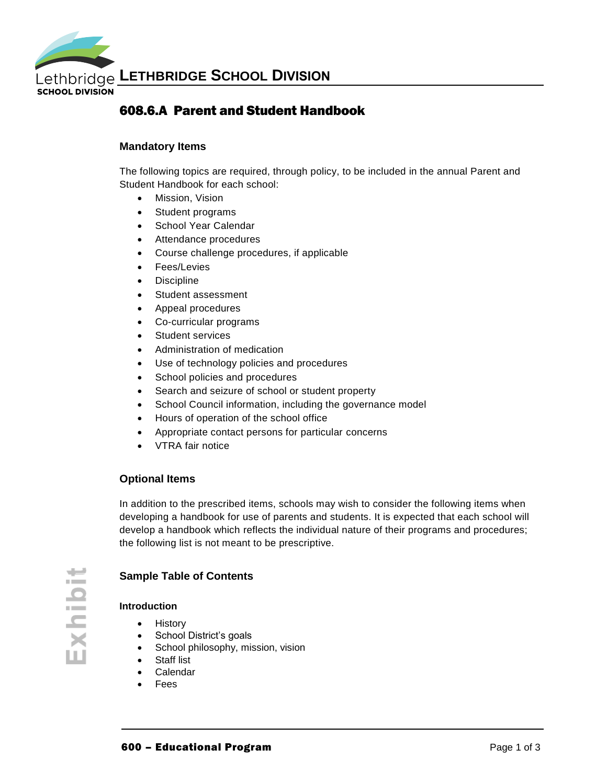

## 608.6.A Parent and Student Handbook

### **Mandatory Items**

The following topics are required, through policy, to be included in the annual Parent and Student Handbook for each school:

- Mission, Vision
- Student programs
- School Year Calendar
- Attendance procedures
- Course challenge procedures, if applicable
- Fees/Levies
- Discipline
- Student assessment
- Appeal procedures
- Co-curricular programs
- Student services
- Administration of medication
- Use of technology policies and procedures
- School policies and procedures
- Search and seizure of school or student property
- School Council information, including the governance model
- Hours of operation of the school office
- Appropriate contact persons for particular concerns
- VTRA fair notice

## **Optional Items**

In addition to the prescribed items, schools may wish to consider the following items when developing a handbook for use of parents and students. It is expected that each school will develop a handbook which reflects the individual nature of their programs and procedures; the following list is not meant to be prescriptive.

### **Sample Table of Contents**

#### **Introduction**

- History
- School District's goals
- School philosophy, mission, vision
- Staff list
- Calendar
- Fees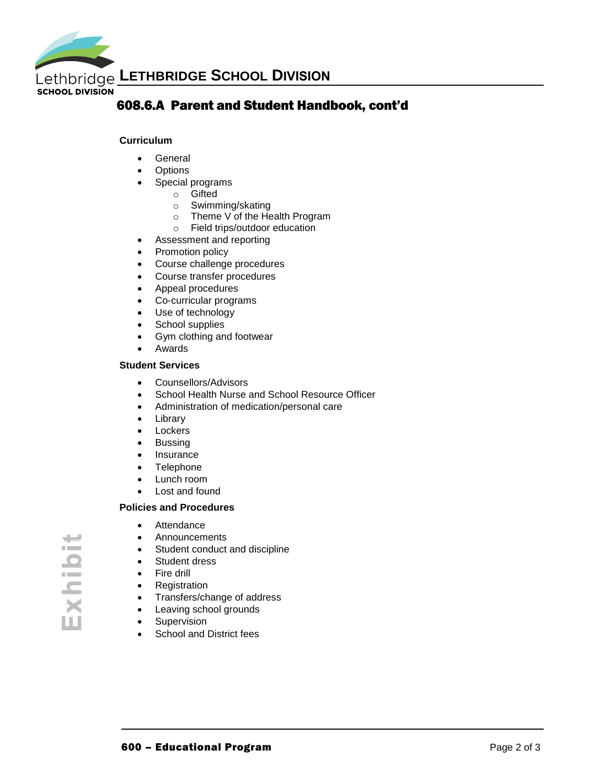

## 608.6.A Parent and Student Handbook, cont'd

#### **Curriculum**

- General
- Options
- Special programs
	- o Gifted
	- o Swimming/skating
	- o Theme V of the Health Program
	- o Field trips/outdoor education
- Assessment and reporting
- Promotion policy
- Course challenge procedures
- Course transfer procedures
- Appeal procedures
- Co-curricular programs
- Use of technology
- School supplies
- Gym clothing and footwear
- Awards

#### **Student Services**

- Counsellors/Advisors
- School Health Nurse and School Resource Officer
- Administration of medication/personal care
- Library
- Lockers
- Bussing
- Insurance
- Telephone
- Lunch room
- Lost and found

#### **Policies and Procedures**

- Attendance
- Announcements
- Student conduct and discipline
- Student dress
- Fire drill
- Registration
- Transfers/change of address
- Leaving school grounds
- Supervision
- School and District fees

س ÷ xhibi m